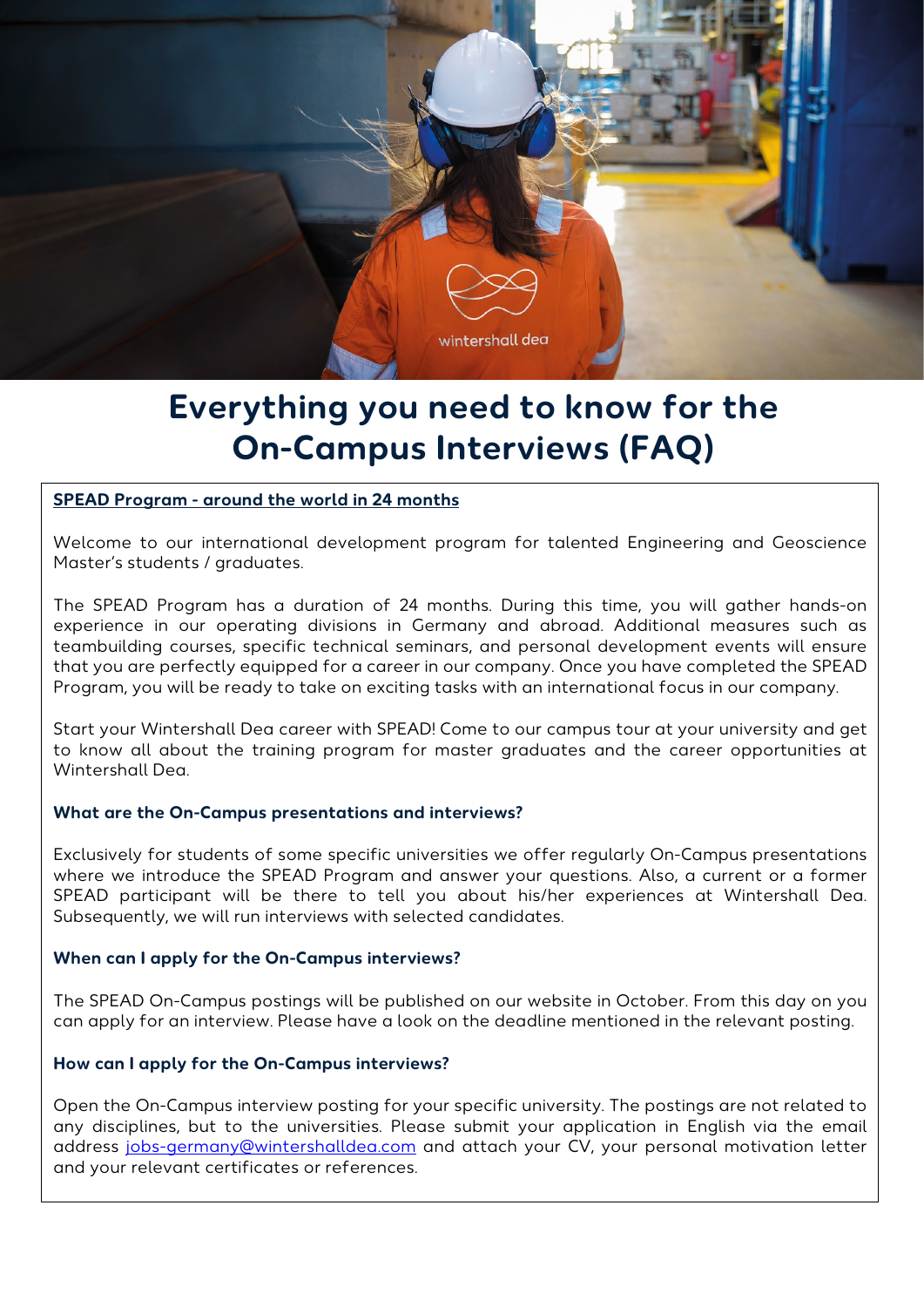

# **Everything you need to know for the On-Campus Interviews (FAQ)**

# **SPEAD Program - around the world in 24 months**

Welcome to our international development program for talented Engineering and Geoscience Master's students / graduates.

The SPEAD Program has a duration of 24 months. During this time, you will gather hands-on experience in our operating divisions in Germany and abroad. Additional measures such as teambuilding courses, specific technical seminars, and personal development events will ensure that you are perfectly equipped for a career in our company. Once you have completed the SPEAD Program, you will be ready to take on exciting tasks with an international focus in our company.

Start your Wintershall Dea career with SPEAD! Come to our campus tour at your university and get to know all about the training program for master graduates and the career opportunities at Wintershall Dea.

# **What are the On-Campus presentations and interviews?**

Exclusively for students of some specific universities we offer regularly On-Campus presentations where we introduce the SPEAD Program and answer your questions. Also, a current or a former SPEAD participant will be there to tell you about his/her experiences at Wintershall Dea. Subsequently, we will run interviews with selected candidates.

# **When can I apply for the On-Campus interviews?**

The SPEAD On-Campus postings will be published on our website in October. From this day on you can apply for an interview. Please have a look on the deadline mentioned in the relevant posting.

# **How can I apply for the On-Campus interviews?**

address <u>jobs-germany@wintershalldea.com</u> and attach your CV, your personal motivation letter<br>and usured wart certificates exacters:ses Open the On-Campus interview posting for your specific university. The postings are not related to any disciplines, but to the universities. Please submit your application in English via the email and your relevant certificates or references.